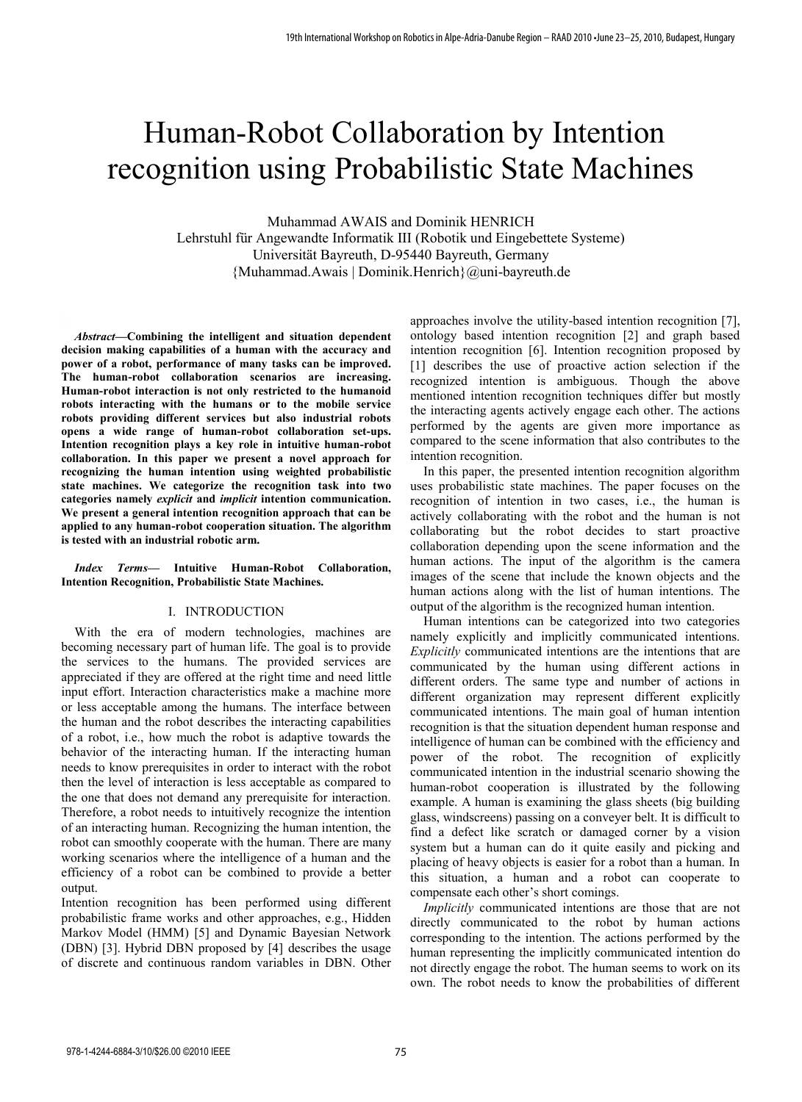# Human-Robot Collaboration by Intention recognition using Probabilistic State Machines

Muhammad AWAIS and Dominik HENRICH Lehrstuhl für Angewandte Informatik III (Robotik und Eingebettete Systeme) Universität Bayreuth, D-95440 Bayreuth, Germany {Muhammad.Awais | Dominik.Henrich}@uni-bayreuth.de

*Abstract***—Combining the intelligent and situation dependent decision making capabilities of a human with the accuracy and power of a robot, performance of many tasks can be improved. The human-robot collaboration scenarios are increasing. Human-robot interaction is not only restricted to the humanoid robots interacting with the humans or to the mobile service robots providing different services but also industrial robots opens a wide range of human-robot collaboration set-ups. Intention recognition plays a key role in intuitive human-robot collaboration. In this paper we present a novel approach for recognizing the human intention using weighted probabilistic state machines. We categorize the recognition task into two categories namely** *explicit* **and** *implicit* **intention communication. We present a general intention recognition approach that can be applied to any human-robot cooperation situation. The algorithm is tested with an industrial robotic arm.** 

*Index Terms***— Intuitive Human-Robot Collaboration, Intention Recognition, Probabilistic State Machines.** 

## I. INTRODUCTION

With the era of modern technologies, machines are becoming necessary part of human life. The goal is to provide the services to the humans. The provided services are appreciated if they are offered at the right time and need little input effort. Interaction characteristics make a machine more or less acceptable among the humans. The interface between the human and the robot describes the interacting capabilities of a robot, i.e., how much the robot is adaptive towards the behavior of the interacting human. If the interacting human needs to know prerequisites in order to interact with the robot then the level of interaction is less acceptable as compared to the one that does not demand any prerequisite for interaction. Therefore, a robot needs to intuitively recognize the intention of an interacting human. Recognizing the human intention, the robot can smoothly cooperate with the human. There are many working scenarios where the intelligence of a human and the efficiency of a robot can be combined to provide a better output.

Intention recognition has been performed using different probabilistic frame works and other approaches, e.g., Hidden Markov Model (HMM) [5] and Dynamic Bayesian Network (DBN) [3]. Hybrid DBN proposed by [4] describes the usage of discrete and continuous random variables in DBN. Other approaches involve the utility-based intention recognition [7], ontology based intention recognition [2] and graph based intention recognition [6]. Intention recognition proposed by [1] describes the use of proactive action selection if the recognized intention is ambiguous. Though the above mentioned intention recognition techniques differ but mostly the interacting agents actively engage each other. The actions performed by the agents are given more importance as compared to the scene information that also contributes to the intention recognition.

In this paper, the presented intention recognition algorithm uses probabilistic state machines. The paper focuses on the recognition of intention in two cases, i.e., the human is actively collaborating with the robot and the human is not collaborating but the robot decides to start proactive collaboration depending upon the scene information and the human actions. The input of the algorithm is the camera images of the scene that include the known objects and the human actions along with the list of human intentions. The output of the algorithm is the recognized human intention.

Human intentions can be categorized into two categories namely explicitly and implicitly communicated intentions. *Explicitly* communicated intentions are the intentions that are communicated by the human using different actions in different orders. The same type and number of actions in different organization may represent different explicitly communicated intentions. The main goal of human intention recognition is that the situation dependent human response and intelligence of human can be combined with the efficiency and power of the robot. The recognition of explicitly communicated intention in the industrial scenario showing the human-robot cooperation is illustrated by the following example. A human is examining the glass sheets (big building glass, windscreens) passing on a conveyer belt. It is difficult to find a defect like scratch or damaged corner by a vision system but a human can do it quite easily and picking and placing of heavy objects is easier for a robot than a human. In this situation, a human and a robot can cooperate to compensate each other's short comings. **THOMAS CRIME AND THE CONFERENCE SURFACE CONFERENCE SURFACE CONFERENCE SURFACE CONFERENCE SURFACE CONFERENCE SURFACE CONFERENCE CONFERENCE CONFERENCE CONFERENCE CONFERENCE CONFERENCE CONFERENCE CONFERENCE CONFERENCE CONFE** 

*Implicitly* communicated intentions are those that are not directly communicated to the robot by human actions corresponding to the intention. The actions performed by the human representing the implicitly communicated intention do not directly engage the robot. The human seems to work on its own. The robot needs to know the probabilities of different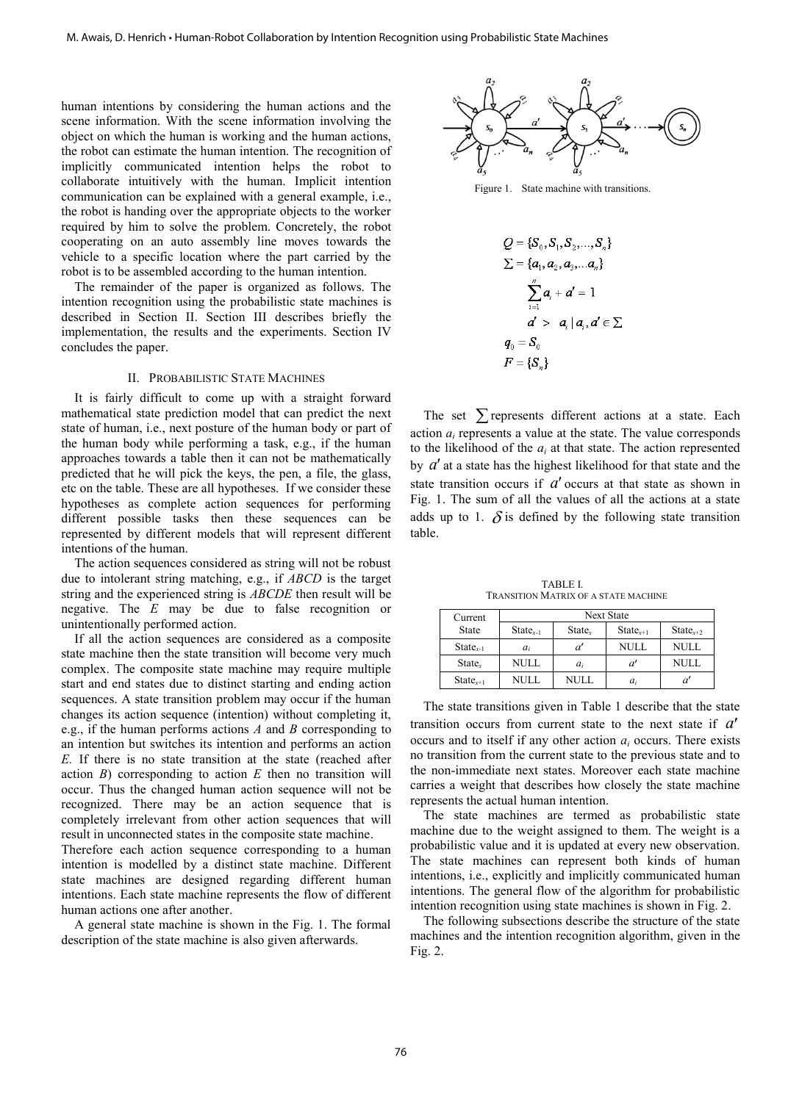human intentions by considering the human actions and the scene information. With the scene information involving the object on which the human is working and the human actions, the robot can estimate the human intention. The recognition of implicitly communicated intention helps the robot to collaborate intuitively with the human. Implicit intention communication can be explained with a general example, i.e., the robot is handing over the appropriate objects to the worker required by him to solve the problem. Concretely, the robot cooperating on an auto assembly line moves towards the vehicle to a specific location where the part carried by the robot is to be assembled according to the human intention.

The remainder of the paper is organized as follows. The intention recognition using the probabilistic state machines is described in Section II. Section III describes briefly the implementation, the results and the experiments. Section IV concludes the paper.

## II. PROBABILISTIC STATE MACHINES

It is fairly difficult to come up with a straight forward mathematical state prediction model that can predict the next state of human, i.e., next posture of the human body or part of the human body while performing a task, e.g., if the human approaches towards a table then it can not be mathematically predicted that he will pick the keys, the pen, a file, the glass, etc on the table. These are all hypotheses. If we consider these hypotheses as complete action sequences for performing different possible tasks then these sequences can be represented by different models that will represent different intentions of the human.

The action sequences considered as string will not be robust due to intolerant string matching, e.g., if *ABCD* is the target string and the experienced string is *ABCDE* then result will be negative. The *E* may be due to false recognition or unintentionally performed action.

If all the action sequences are considered as a composite state machine then the state transition will become very much complex. The composite state machine may require multiple start and end states due to distinct starting and ending action sequences. A state transition problem may occur if the human changes its action sequence (intention) without completing it, e.g., if the human performs actions *A* and *B* corresponding to an intention but switches its intention and performs an action *E.* If there is no state transition at the state (reached after action *B*) corresponding to action *E* then no transition will occur. Thus the changed human action sequence will not be recognized. There may be an action sequence that is completely irrelevant from other action sequences that will result in unconnected states in the composite state machine.

Therefore each action sequence corresponding to a human intention is modelled by a distinct state machine. Different state machines are designed regarding different human intentions. Each state machine represents the flow of different human actions one after another.

A general state machine is shown in the Fig. 1. The formal description of the state machine is also given afterwards.



Figure 1. State machine with transitions.

$$
Q = \{S_0, S_1, S_2, ..., S_n\}
$$
  
\n
$$
\sum = \{a_1, a_2, a_3, ..., a_n\}
$$
  
\n
$$
\sum_{i=1}^{n} a_i + a' = 1
$$
  
\n
$$
a' > a_i | a_i, a' \in \Sigma
$$
  
\n
$$
q_0 = S_0
$$
  
\n
$$
F = \{S_n\}
$$

The set  $\sum$  represents different actions at a state. Each action  $a_i$  represents a value at the state. The value corresponds to the likelihood of the  $a_i$  at that state. The action represented by  $a'$  at a state has the highest likelihood for that state and the state transition occurs if  $a'$  occurs at that state as shown in Fig. 1. The sum of all the values of all the actions at a state adds up to 1.  $\delta$  is defined by the following state transition table.

TABLE I. TRANSITION MATRIX OF A STATE MACHINE

| Current       | <b>Next State</b> |                    |               |               |  |  |
|---------------|-------------------|--------------------|---------------|---------------|--|--|
| <b>State</b>  | $State_{x-1}$     | State <sub>x</sub> | $State_{r+1}$ | $State_{r+2}$ |  |  |
| $State_{x-1}$ | $a_i$             |                    | NULL          | NULL          |  |  |
| $State_r$     | NULL              | $a_i$              | ď             | NULL          |  |  |
| $State_{r+1}$ | NULL              | <b>NULL</b>        | $a_i$         | a             |  |  |

The state transitions given in Table 1 describe that the state transition occurs from current state to the next state if *a* occurs and to itself if any other action *a<sup>i</sup>* occurs. There exists no transition from the current state to the previous state and to the non-immediate next states. Moreover each state machine carries a weight that describes how closely the state machine represents the actual human intention.

The state machines are termed as probabilistic state machine due to the weight assigned to them. The weight is a probabilistic value and it is updated at every new observation. The state machines can represent both kinds of human intentions, i.e., explicitly and implicitly communicated human intentions. The general flow of the algorithm for probabilistic intention recognition using state machines is shown in Fig. 2.

The following subsections describe the structure of the state machines and the intention recognition algorithm, given in the Fig. 2.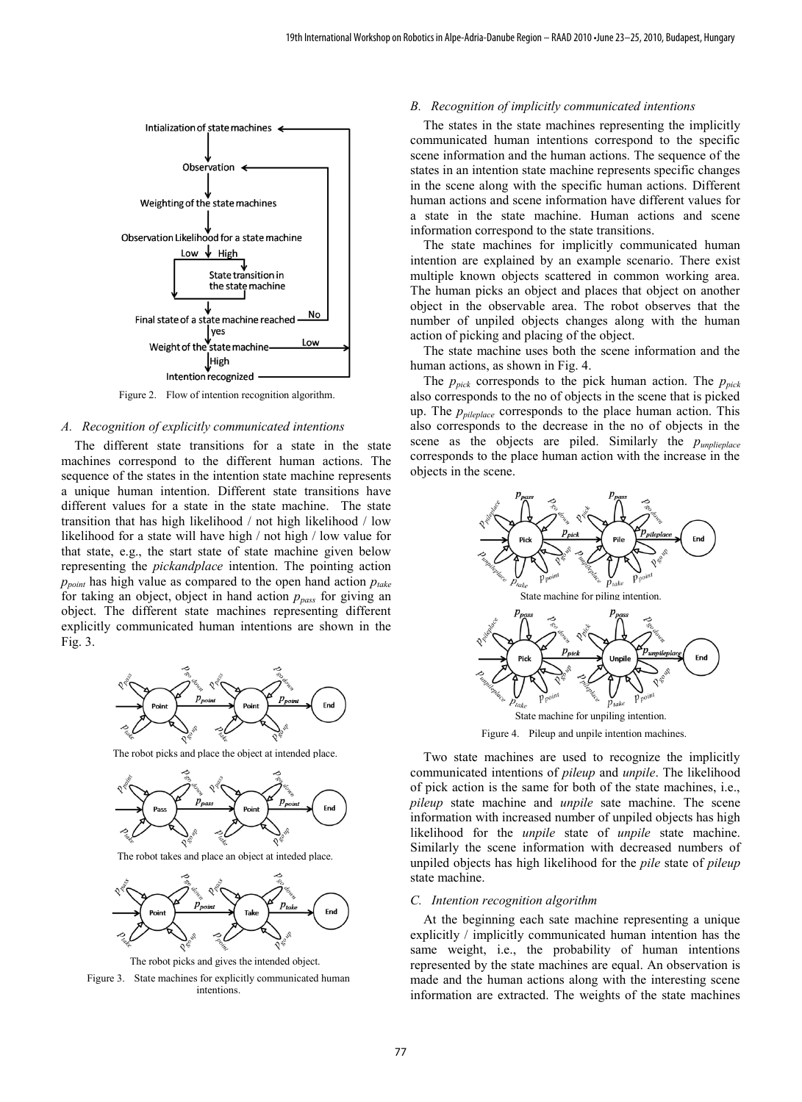

Figure 2. Flow of intention recognition algorithm.

## *A. Recognition of explicitly communicated intentions*

The different state transitions for a state in the state machines correspond to the different human actions. The sequence of the states in the intention state machine represents a unique human intention. Different state transitions have different values for a state in the state machine. The state transition that has high likelihood / not high likelihood / low likelihood for a state will have high / not high / low value for that state, e.g., the start state of state machine given below representing the *pickandplace* intention. The pointing action  $p_{point}$  has high value as compared to the open hand action  $p_{take}$ for taking an object, object in hand action *ppass* for giving an object. The different state machines representing different explicitly communicated human intentions are shown in the Fig. 3.



The robot picks and place the object at intended place.



The robot takes and place an object at inteded place.



The robot picks and gives the intended object.

Figure 3. State machines for explicitly communicated human intentions.

## *B. Recognition of implicitly communicated intentions*

The states in the state machines representing the implicitly communicated human intentions correspond to the specific scene information and the human actions. The sequence of the states in an intention state machine represents specific changes in the scene along with the specific human actions. Different human actions and scene information have different values for a state in the state machine. Human actions and scene information correspond to the state transitions.

The state machines for implicitly communicated human intention are explained by an example scenario. There exist multiple known objects scattered in common working area. The human picks an object and places that object on another object in the observable area. The robot observes that the number of unpiled objects changes along with the human action of picking and placing of the object.

The state machine uses both the scene information and the human actions, as shown in Fig. 4.

The  $p_{pick}$  corresponds to the pick human action. The  $p_{pick}$ also corresponds to the no of objects in the scene that is picked up. The *ppileplace* corresponds to the place human action. This also corresponds to the decrease in the no of objects in the scene as the objects are piled. Similarly the *punplieplace* corresponds to the place human action with the increase in the objects in the scene.



Figure 4. Pileup and unpile intention machines.

Two state machines are used to recognize the implicitly communicated intentions of *pileup* and *unpile*. The likelihood of pick action is the same for both of the state machines, i.e., *pileup* state machine and *unpile* sate machine. The scene information with increased number of unpiled objects has high likelihood for the *unpile* state of *unpile* state machine. Similarly the scene information with decreased numbers of unpiled objects has high likelihood for the *pile* state of *pileup* state machine.

## *C. Intention recognition algorithm*

At the beginning each sate machine representing a unique explicitly / implicitly communicated human intention has the same weight, i.e., the probability of human intentions represented by the state machines are equal. An observation is made and the human actions along with the interesting scene information are extracted. The weights of the state machines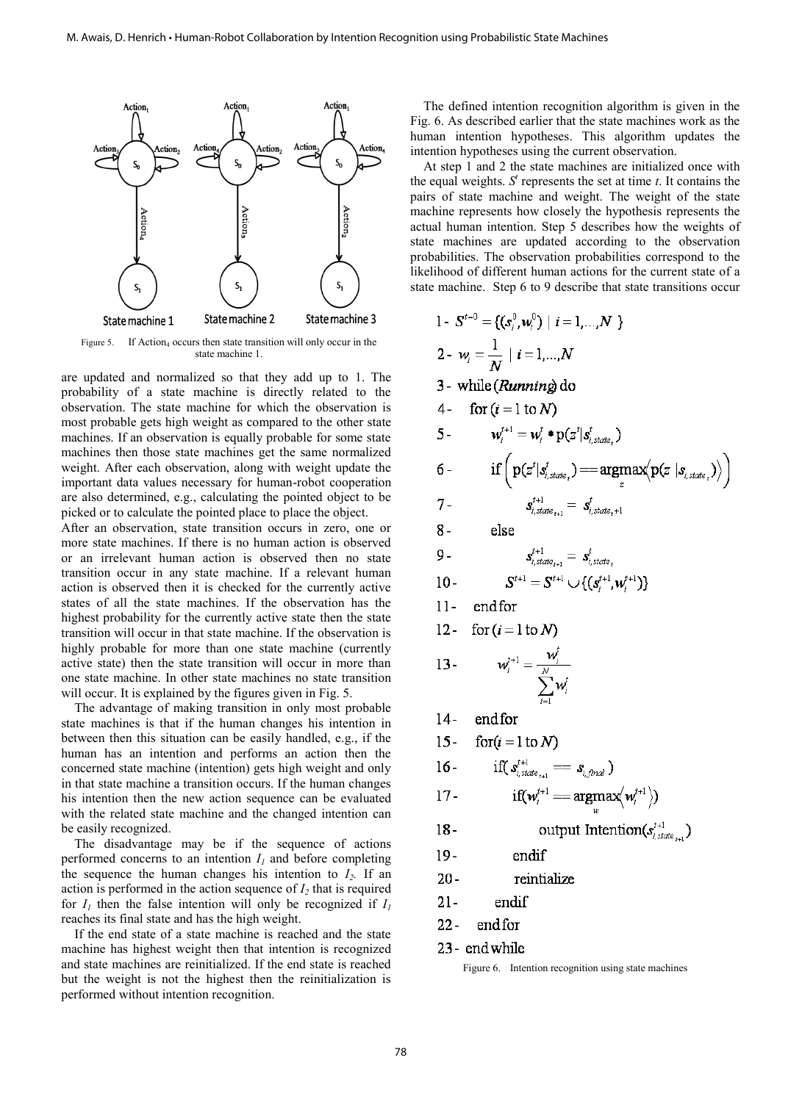

Figure 5. If Action<sub>4</sub> occurs then state transition will only occur in the state machine 1.

are updated and normalized so that they add up to 1. The probability of a state machine is directly related to the observation. The state machine for which the observation is most probable gets high weight as compared to the other state machines. If an observation is equally probable for some state machines then those state machines get the same normalized weight. After each observation, along with weight update the important data values necessary for human-robot cooperation are also determined, e.g., calculating the pointed object to be picked or to calculate the pointed place to place the object.

After an observation, state transition occurs in zero, one or more state machines. If there is no human action is observed or an irrelevant human action is observed then no state transition occur in any state machine. If a relevant human action is observed then it is checked for the currently active states of all the state machines. If the observation has the highest probability for the currently active state then the state transition will occur in that state machine. If the observation is highly probable for more than one state machine (currently active state) then the state transition will occur in more than one state machine. In other state machines no state transition will occur. It is explained by the figures given in Fig. 5.

The advantage of making transition in only most probable state machines is that if the human changes his intention in between then this situation can be easily handled, e.g., if the human has an intention and performs an action then the concerned state machine (intention) gets high weight and only in that state machine a transition occurs. If the human changes his intention then the new action sequence can be evaluated with the related state machine and the changed intention can be easily recognized.

The disadvantage may be if the sequence of actions performed concerns to an intention  $I<sub>l</sub>$  and before completing the sequence the human changes his intention to  $I_2$ . If an action is performed in the action sequence of  $I_2$  that is required for  $I_I$  then the false intention will only be recognized if  $I_I$ reaches its final state and has the high weight.

If the end state of a state machine is reached and the state machine has highest weight then that intention is recognized and state machines are reinitialized. If the end state is reached but the weight is not the highest then the reinitialization is performed without intention recognition.

The defined intention recognition algorithm is given in the Fig. 6. As described earlier that the state machines work as the human intention hypotheses. This algorithm updates the intention hypotheses using the current observation.

At step 1 and 2 the state machines are initialized once with the equal weights.  $S<sup>t</sup>$  represents the set at time  $t$ . It contains the pairs of state machine and weight. The weight of the state machine represents how closely the hypothesis represents the actual human intention. Step 5 describes how the weights of state machines are updated according to the observation probabilities. The observation probabilities correspond to the likelihood of different human actions for the current state of a state machine. Step 6 to 9 describe that state transitions occur

1- 
$$
S^{t=0} = \{(s_i^0, w_i^0) | i = 1,..., N \}
$$
  
\n2-  $w_i = \frac{1}{N} | i = 1,..., N$   
\n3- while (Running do  
\n4- for  $(i = 1 \text{ to } N)$   
\n5-  $w_i^{t+1} = w_i^t * p(z^t | s_{i, state_i}^t)$   
\n6- if  $(p(z^t | s_{i, state_i}^t) == argmax(p(z | s_{i, state_i}) )$ )  
\n7-  $s_{i, state_{i+1}}^{t+1} = s_{i, state_i+1}^t$   
\n8- else  
\n9-  $s_{i, state_{i+1}}^{t+1} = s_{i, state_i}^t$   
\n10-  $S^{t+1} = S^{t+1} \cup \{(s_i^{t+1}, w_i^{t+1})\}$   
\n11- endfor  
\n12- for  $(i = 1 \text{ to } N)$   
\n13-  $w_i^{t+1} = \frac{w_i^t}{\sum_{i=1}^N w_i^t}$   
\n14- endfor  
\n15- for  $(i = 1 \text{ to } N)$   
\n16- if  $s_{i, state_{i+1}}^{t+1} == s_{i, final}$   
\n17- if  $(w_i^{t+1} == argmax(w_i^{t+1}))$   
\n18- output Intention $(s_{i, state_{i+1}}^{t+1})$   
\n19- endif  
\n20- reintialize  
\n21- endif  
\n22- end for  
\n23- end while

Figure 6. Intention recognition using state machines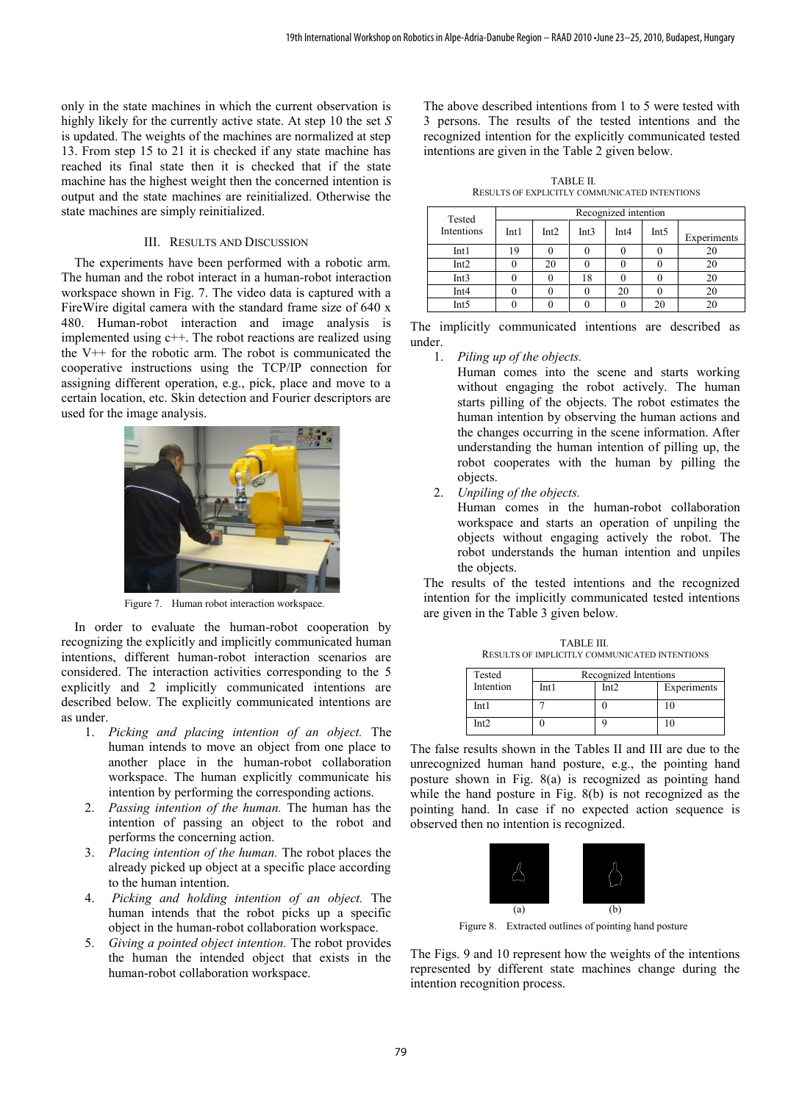only in the state machines in which the current observation is highly likely for the currently active state. At step 10 the set *S* is updated. The weights of the machines are normalized at step 13. From step 15 to 21 it is checked if any state machine has reached its final state then it is checked that if the state machine has the highest weight then the concerned intention is output and the state machines are reinitialized. Otherwise the state machines are simply reinitialized.

## III. RESULTS AND DISCUSSION

The experiments have been performed with a robotic arm. The human and the robot interact in a human-robot interaction workspace shown in Fig. 7. The video data is captured with a FireWire digital camera with the standard frame size of 640 x 480. Human-robot interaction and image analysis is implemented using c++. The robot reactions are realized using the V++ for the robotic arm. The robot is communicated the cooperative instructions using the TCP/IP connection for assigning different operation, e.g., pick, place and move to a certain location, etc. Skin detection and Fourier descriptors are used for the image analysis.



Figure 7. Human robot interaction workspace.

In order to evaluate the human-robot cooperation by recognizing the explicitly and implicitly communicated human intentions, different human-robot interaction scenarios are considered. The interaction activities corresponding to the 5 explicitly and 2 implicitly communicated intentions are described below. The explicitly communicated intentions are as under.

- 1. *Picking and placing intention of an object.* The human intends to move an object from one place to another place in the human-robot collaboration workspace. The human explicitly communicate his intention by performing the corresponding actions.
- 2. *Passing intention of the human.* The human has the intention of passing an object to the robot and performs the concerning action.
- 3. *Placing intention of the human.* The robot places the already picked up object at a specific place according to the human intention.
- 4. *Picking and holding intention of an object.* The human intends that the robot picks up a specific object in the human-robot collaboration workspace.
- 5. *Giving a pointed object intention.* The robot provides the human the intended object that exists in the human-robot collaboration workspace.

TABLE II. RESULTS OF EXPLICITLY COMMUNICATED INTENTIONS

| 19th International Workshop on Robotics in Alpe-Adria-Danube Region - RAAD 2010 •June 23–25, 2010, Budapest, Hungary |                                                                                                                                                                                                                                           |                        |                        |                                  |                                               |                                  |                                                        |  |
|----------------------------------------------------------------------------------------------------------------------|-------------------------------------------------------------------------------------------------------------------------------------------------------------------------------------------------------------------------------------------|------------------------|------------------------|----------------------------------|-----------------------------------------------|----------------------------------|--------------------------------------------------------|--|
| urrent observation is<br>At step 10 the set $S$<br>e normalized at step<br>y state machine has                       | The above described intentions from 1 to 5 were tested with<br>3 persons. The results of the tested intentions and the<br>recognized intention for the explicitly communicated tested<br>intentions are given in the Table 2 given below. |                        |                        |                                  |                                               |                                  |                                                        |  |
| ed that if the state<br>oncerned intention is<br>lized. Otherwise the                                                | TABLE II.<br>RESULTS OF EXPLICITLY COMMUNICATED INTENTIONS                                                                                                                                                                                |                        |                        |                                  |                                               |                                  |                                                        |  |
|                                                                                                                      | Recognized intention                                                                                                                                                                                                                      |                        |                        |                                  |                                               |                                  |                                                        |  |
| SION                                                                                                                 | Tested<br>Intentions                                                                                                                                                                                                                      | Int1                   | Int2                   | Int <sub>3</sub>                 | Int <sub>4</sub>                              | Int <sub>5</sub>                 | Experiments                                            |  |
| with a robotic arm.                                                                                                  | Int1<br>Int2                                                                                                                                                                                                                              | 19<br>$\boldsymbol{0}$ | $\boldsymbol{0}$<br>20 | $\mathbf{0}$<br>$\boldsymbol{0}$ | $\mathbf{0}$<br>$\mathbf{0}$                  | $\boldsymbol{0}$<br>$\mathbf{0}$ | 20<br>20                                               |  |
| an-robot interaction                                                                                                 | Int3                                                                                                                                                                                                                                      | $\boldsymbol{0}$       | $\boldsymbol{0}$       | 18                               | $\bf{0}$                                      | $\boldsymbol{0}$                 | 20                                                     |  |
| a is captured with a                                                                                                 | Int4                                                                                                                                                                                                                                      | $\mathbf{0}$           | $\mathbf{0}$           | $\boldsymbol{0}$                 | 20                                            | $\theta$                         | 20                                                     |  |
| frame size of 640 x                                                                                                  | Int <sub>5</sub>                                                                                                                                                                                                                          | $\theta$               | $\boldsymbol{0}$       | $\theta$                         | $\Omega$                                      | 20                               | 20                                                     |  |
| analysis<br>mage<br>1S<br>ns are realized using<br>s communicated the<br>/IP connection for                          | The implicitly communicated intentions are described as<br>under.<br>Piling up of the objects.<br>1.<br>Human comes into the scene and starts working                                                                                     |                        |                        |                                  |                                               |                                  |                                                        |  |
| lace and move to a                                                                                                   |                                                                                                                                                                                                                                           |                        |                        |                                  |                                               |                                  | without engaging the robot actively. The human         |  |
| urier descriptors are                                                                                                |                                                                                                                                                                                                                                           |                        |                        |                                  |                                               |                                  | starts pilling of the objects. The robot estimates the |  |
|                                                                                                                      |                                                                                                                                                                                                                                           |                        |                        |                                  |                                               |                                  | human intention by observing the human actions and     |  |
| the changes occurring in the scene information. After                                                                |                                                                                                                                                                                                                                           |                        |                        |                                  |                                               |                                  |                                                        |  |
|                                                                                                                      |                                                                                                                                                                                                                                           |                        |                        |                                  |                                               |                                  | understanding the human intention of pilling up, the   |  |
|                                                                                                                      | objects.                                                                                                                                                                                                                                  |                        |                        |                                  |                                               |                                  | robot cooperates with the human by pilling the         |  |
|                                                                                                                      | Unpiling of the objects.<br>2.                                                                                                                                                                                                            |                        |                        |                                  |                                               |                                  |                                                        |  |
|                                                                                                                      |                                                                                                                                                                                                                                           |                        |                        |                                  |                                               |                                  |                                                        |  |
|                                                                                                                      | Human comes in the human-robot collaboration<br>workspace and starts an operation of unpiling the<br>objects without engaging actively the robot. The<br>robot understands the human intention and unpiles<br>the objects.                |                        |                        |                                  |                                               |                                  |                                                        |  |
|                                                                                                                      |                                                                                                                                                                                                                                           |                        |                        |                                  |                                               |                                  |                                                        |  |
|                                                                                                                      |                                                                                                                                                                                                                                           |                        |                        |                                  |                                               |                                  |                                                        |  |
|                                                                                                                      |                                                                                                                                                                                                                                           |                        |                        |                                  |                                               |                                  |                                                        |  |
|                                                                                                                      | The results of the tested intentions and the recognized                                                                                                                                                                                   |                        |                        |                                  |                                               |                                  |                                                        |  |
| orkspace.                                                                                                            | intention for the implicitly communicated tested intentions                                                                                                                                                                               |                        |                        |                                  |                                               |                                  |                                                        |  |
|                                                                                                                      | are given in the Table 3 given below.                                                                                                                                                                                                     |                        |                        |                                  |                                               |                                  |                                                        |  |
| oot cooperation by<br>mmunicated human                                                                               |                                                                                                                                                                                                                                           |                        |                        | <b>TABLE III.</b>                |                                               |                                  |                                                        |  |
| ction scenarios are                                                                                                  |                                                                                                                                                                                                                                           |                        |                        |                                  | RESULTS OF IMPLICITLY COMMUNICATED INTENTIONS |                                  |                                                        |  |
| responding to the 5                                                                                                  | Tested                                                                                                                                                                                                                                    |                        |                        |                                  | Recognized Intentions                         |                                  |                                                        |  |
| ted intentions are                                                                                                   | Intention                                                                                                                                                                                                                                 |                        | Int1                   |                                  | Int <sub>2</sub>                              |                                  | Experiments                                            |  |
| cated intentions are                                                                                                 | Int1                                                                                                                                                                                                                                      |                        | 7                      |                                  | $\boldsymbol{0}$                              | 10                               |                                                        |  |
|                                                                                                                      | Int2                                                                                                                                                                                                                                      |                        | $\boldsymbol{0}$       |                                  | 9                                             | 10                               |                                                        |  |
| of an object. The                                                                                                    |                                                                                                                                                                                                                                           |                        |                        |                                  |                                               |                                  |                                                        |  |
| t from one place to                                                                                                  | The false results shown in the Tables II and III are due to the                                                                                                                                                                           |                        |                        |                                  |                                               |                                  |                                                        |  |
| robot collaboration                                                                                                  | unrecognized human hand posture, e.g., the pointing hand                                                                                                                                                                                  |                        |                        |                                  |                                               |                                  |                                                        |  |
| y communicate his                                                                                                    | posture shown in Fig. 8(a) is recognized as pointing hand                                                                                                                                                                                 |                        |                        |                                  |                                               |                                  |                                                        |  |
| sponding actions.                                                                                                    | while the hand posture in Fig. $8(b)$ is not recognized as the                                                                                                                                                                            |                        |                        |                                  |                                               |                                  |                                                        |  |
| The human has the<br>to the robot and                                                                                | pointing hand. In case if no expected action sequence is<br>observed then no intention is recognized.                                                                                                                                     |                        |                        |                                  |                                               |                                  |                                                        |  |
|                                                                                                                      |                                                                                                                                                                                                                                           |                        |                        |                                  |                                               |                                  |                                                        |  |
| The robot places the                                                                                                 |                                                                                                                                                                                                                                           |                        |                        |                                  |                                               |                                  |                                                        |  |
| ific place according                                                                                                 |                                                                                                                                                                                                                                           |                        |                        |                                  |                                               |                                  |                                                        |  |
|                                                                                                                      |                                                                                                                                                                                                                                           |                        |                        |                                  |                                               |                                  |                                                        |  |
| of an object. The                                                                                                    |                                                                                                                                                                                                                                           |                        |                        |                                  |                                               |                                  |                                                        |  |
| bicks up a specific                                                                                                  |                                                                                                                                                                                                                                           | (a)                    |                        |                                  | (b)                                           |                                  |                                                        |  |
| ration workspace.                                                                                                    | Figure 8. Extracted outlines of pointing hand posture                                                                                                                                                                                     |                        |                        |                                  |                                               |                                  |                                                        |  |
| The robot provides                                                                                                   |                                                                                                                                                                                                                                           |                        |                        |                                  |                                               |                                  |                                                        |  |
| that exists in the                                                                                                   | The Figs. 9 and 10 represent how the weights of the intentions<br>represented by different state machines change during the                                                                                                               |                        |                        |                                  |                                               |                                  |                                                        |  |
| pace.                                                                                                                | intention recognition process.                                                                                                                                                                                                            |                        |                        |                                  |                                               |                                  |                                                        |  |
|                                                                                                                      |                                                                                                                                                                                                                                           |                        |                        |                                  |                                               |                                  |                                                        |  |
|                                                                                                                      |                                                                                                                                                                                                                                           |                        |                        |                                  |                                               |                                  |                                                        |  |
|                                                                                                                      |                                                                                                                                                                                                                                           |                        |                        |                                  |                                               |                                  |                                                        |  |
| 79                                                                                                                   |                                                                                                                                                                                                                                           |                        |                        |                                  |                                               |                                  |                                                        |  |
|                                                                                                                      |                                                                                                                                                                                                                                           |                        |                        |                                  |                                               |                                  |                                                        |  |

TABLE III. RESULTS OF IMPLICITLY COMMUNICATED INTENTIONS

| Tested    | Recognized Intentions |      |             |  |  |
|-----------|-----------------------|------|-------------|--|--|
| Intention | Int1                  | Int2 | Experiments |  |  |
| Int1      |                       |      |             |  |  |
| Int2      |                       |      |             |  |  |



Figure 8. Extracted outlines of pointing hand posture